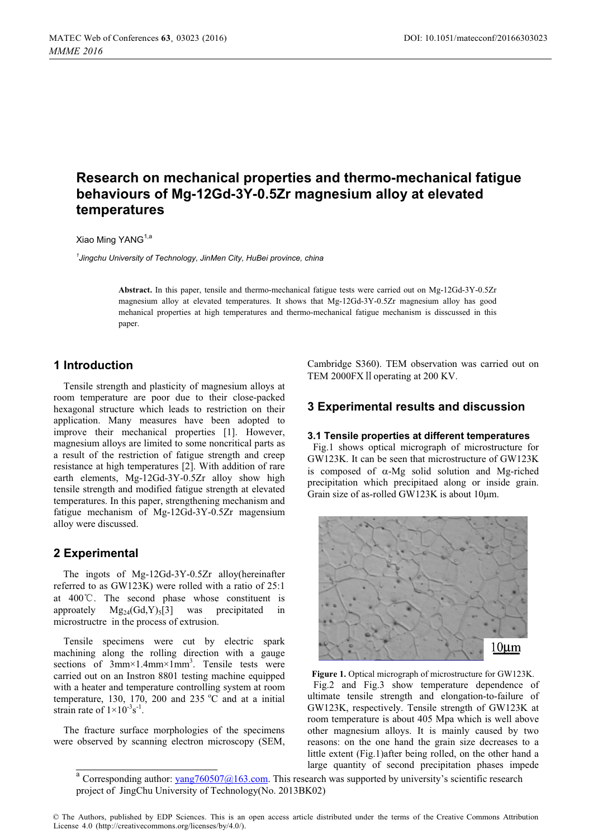# **Research on mechanical properties and thermo-mechanical fatigue behaviours of Mg-12Gd-3Y-0.5Zr magnesium alloy at elevated temperatures**

Xiao Ming YANG<sup>1,a</sup>

<sup>1</sup> Jingchu University of Technology, JinMen City, HuBei province, china *Jingchu University of Technology, JinMen City, HuBei province, china* 

> **Abstract.** In this paper, tensile and thermo-mechanical fatigue tests were carried out on Mg-12Gd-3Y-0.5Zr magnesium alloy at elevated temperatures. It shows that Mg-12Gd-3Y-0.5Zr magnesium alloy has good mehanical properties at high temperatures and thermo-mechanical fatigue mechanism is disscussed in this paper.

# **1 Introduction**

Tensile strength and plasticity of magnesium alloys at room temperature are poor due to their close-packed hexagonal structure which leads to restriction on their application. Many measures have been adopted to improve their mechanical properties [1]. However, magnesium alloys are limited to some noncritical parts as a result of the restriction of fatigue strength and creep resistance at high temperatures [2]. With addition of rare earth elements, Mg-12Gd-3Y-0.5Zr alloy show high tensile strength and modified fatigue strength at elevated temperatures. In this paper, strengthening mechanism and fatigue mechanism of Mg-12Gd-3Y-0.5Zr magensium alloy were discussed.

# **2 Experimental**

The ingots of Mg-12Gd-3Y-0.5Zr alloy(hereinafter referred to as GW123K) were rolled with a ratio of 25:1 at 400ć. The second phase whose constituent is approately  $Mg_{24}(Gd,Y)_5[3]$  was precipitated in microstructre in the process of extrusion.

Tensile specimens were cut by electric spark machining along the rolling direction with a gauge sections of 3mm×1.4mm×1mm<sup>3</sup>. Tensile tests were carried out on an Instron 8801 testing machine equipped with a heater and temperature controlling system at room temperature, 130, 170, 200 and 235  $^{\circ}$ C and at a initial strain rate of  $1 \times 10^{-3}$ s<sup>-1</sup>.

The fracture surface morphologies of the specimens were observed by scanning electron microscopy (SEM, Cambridge S360). TEM observation was carried out on TEM 2000FX II operating at 200 KV.

## **3 Experimental results and discussion**

#### **3.1 Tensile properties at different temperatures**

Fig.1 shows optical micrograph of microstructure for GW123K. It can be seen that microstructure of GW123K is composed of  $\alpha$ -Mg solid solution and Mg-riched precipitation which precipitaed along or inside grain. Grain size of as-rolled GW123K is about  $10 \mu m$ .



Figure 1. Optical micrograph of microstructure for GW123K. Fig.2 and Fig.3 show temperature dependence of ultimate tensile strength and elongation-to-failure of GW123K, respectively. Tensile strength of GW123K at room temperature is about 405 Mpa which is well above other magnesium alloys. It is mainly caused by two reasons: on the one hand the grain size decreases to a little extent (Fig.1)after being rolled, on the other hand a large quantity of second precipitation phases impede

Corresponding author: [yang760507@163.com.](mailto:yang760507@163.com) This research was supported by university's scientific research project of JingChu University of Technology(No. 2013BK02)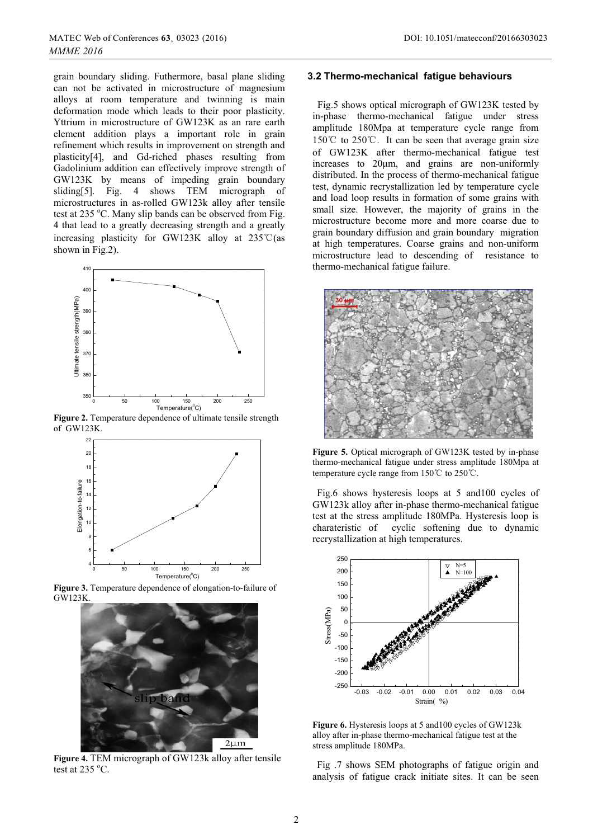grain boundary sliding. Futhermore, basal plane sliding can not be activated in microstructure of magnesium alloys at room temperature and twinning is main deformation mode which leads to their poor plasticity. Yttrium in microstructure of GW123K as an rare earth element addition plays a important role in grain refinement which results in improvement on strength and plasticity[4], and Gd-riched phases resulting from Gadolinium addition can effectively improve strength of GW123K by means of impeding grain boundary sliding[5]. Fig. 4 shows TEM micrograph of microstructures in as-rolled GW123k alloy after tensile test at 235 °C. Many slip bands can be observed from Fig. 4 that lead to a greatly decreasing strength and a greatly increasing plasticity for GW123K alloy at  $235^{\circ}\text{C}$  (asshown in Fig.2).



**Figure 2.** Temperature dependence of ultimate tensile strength<br>of GW123K of GW123K.



**Figure 3.** Temperature dependence of elongation-to-failure of GW123K GW123K.



Figure 4. TEM micrograph of GW123k alloy after tensile test at  $235 \text{ °C}$ .

#### **3.2 Thermo-mechanical fatigue behaviours**

Fig.5 shows optical micrograph of GW123K tested by in-phase thermo-mechanical fatigue under stress amplitude 180Mpa at temperature cycle range from  $150^{\circ}$ C to  $250^{\circ}$ C. It can be seen that average grain size of GW123K after thermo-mechanical fatigue test increases to  $20\mu m$ , and grains are non-uniformly distributed. In the process of thermo-mechanical fatigue test, dynamic recrystallization led by temperature cycle and load loop results in formation of some grains with small size. However, the majority of grains in the microstructure become more and more coarse due to grain boundary diffusion and grain boundary migration at high temperatures. Coarse grains and non-uniform microstructure lead to descending of resistance to thermo-mechanical fatigue failure.



Figure 5. Optical micrograph of GW123K tested by in-phase thermo-mechanical fatigue under stress amplitude 180Mpa at temperature cycle range from  $150^{\circ}$ C to  $250^{\circ}$ C.

Fig.6 shows hysteresis loops at 5 and100 cycles of GW123k alloy after in-phase thermo-mechanical fatigue test at the stress amplitude 180MPa. Hysteresis loop is charateristic of cyclic softening due to dynamic recrystallization at high temperatures.



**Figure 6.** Hysteresis loops at 5 and100 cycles of GW123k alloy after in-phase thermo-mechanical fatigue test at the stress amplitude 180MPa.

 Fig .7 shows SEM photographs of fatigue origin and analysis of fatigue crack initiate sites. It can be seen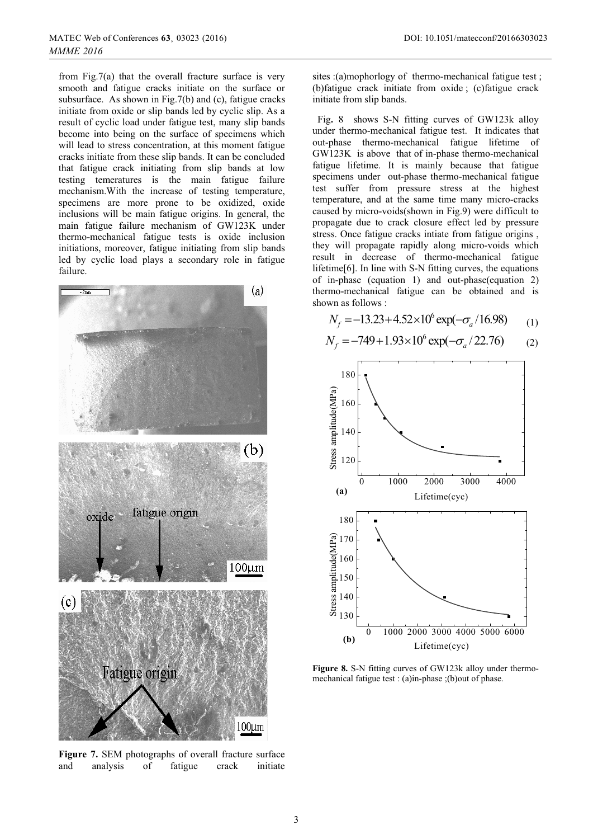from Fig.7(a) that the overall fracture surface is very smooth and fatigue cracks initiate on the surface or subsurface. As shown in Fig.7(b) and (c), fatigue cracks initiate from oxide or slip bands led by cyclic slip. As a result of cyclic load under fatigue test, many slip bands become into being on the surface of specimens which will lead to stress concentration, at this moment fatigue cracks initiate from these slip bands. It can be concluded that fatigue crack initiating from slip bands at low testing temeratures is the main fatigue failure mechanism.With the increase of testing temperature, specimens are more prone to be oxidized, oxide inclusions will be main fatigue origins. In general, the main fatigue failure mechanism of GW123K under thermo-mechanical fatigue tests is oxide inclusion initiations, moreover, fatigue initiating from slip bands led by cyclic load plays a secondary role in fatigue failure.



**Figure 7.** SEM photographs of overall fracture surface and analysis of fatigue crack initiate analysis

sites :(a)mophorlogy of thermo-mechanical fatigue test ; (b)fatigue crack initiate from oxide ; (c)fatigue crack initiate from slip bands.

Fig**.** 8 shows S-N fitting curves of GW123k alloy under thermo-mechanical fatigue test. It indicates that out-phase thermo-mechanical fatigue lifetime of GW123K is above that of in-phase thermo-mechanical fatigue lifetime. It is mainly because that fatigue specimens under out-phase thermo-mechanical fatigue test suffer from pressure stress at the highest temperature, and at the same time many micro-cracks caused by micro-voids(shown in Fig.9) were difficult to propagate due to crack closure effect led by pressure stress. Once fatigue cracks intiate from fatigue origins , they will propagate rapidly along micro-voids which result in decrease of thermo-mechanical fatigue lifetime[6]. In line with S-N fitting curves, the equations of in-phase (equation 1) and out-phase(equation 2) thermo-mechanical fatigue can be obtained and is shown as follows :

$$
N_f = -13.23 + 4.52 \times 10^6 \exp(-\sigma_a/16.98) \tag{1}
$$

$$
N_f = -749 + 1.93 \times 10^6 \exp(-\sigma_a / 22.76) \tag{2}
$$



**Figure 8.** S-N fitting curves of GW123k alloy under thermomechanical fatigue test : (a)in-phase ;(b)out of phase.